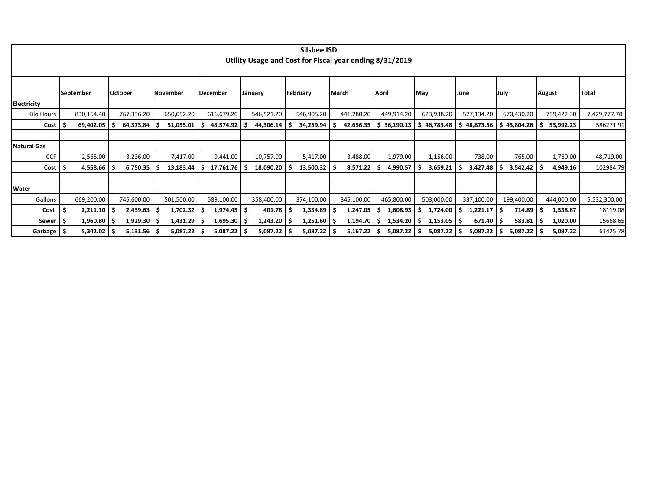|                    |    |               |                 |            |    |                  |                | Silsbee ISD                                             |            |    |             |                |      |                 |             |             |               |            |              |
|--------------------|----|---------------|-----------------|------------|----|------------------|----------------|---------------------------------------------------------|------------|----|-------------|----------------|------|-----------------|-------------|-------------|---------------|------------|--------------|
|                    |    |               |                 |            |    |                  |                | Utility Usage and Cost for Fiscal year ending 8/31/2019 |            |    |             |                |      |                 |             |             |               |            |              |
|                    |    |               |                 |            |    |                  |                |                                                         |            |    |             |                |      |                 |             |             |               |            |              |
|                    |    |               |                 |            |    |                  |                |                                                         |            |    |             |                |      |                 |             |             |               |            |              |
|                    |    |               |                 |            |    |                  |                |                                                         |            |    |             |                |      |                 |             |             |               |            |              |
|                    |    | September     | <b>October</b>  | November   |    | December         | <b>January</b> | February                                                | March      |    | April       | May            | June |                 | <b>July</b> |             | <b>August</b> |            | Total        |
| <b>Electricity</b> |    |               |                 |            |    |                  |                |                                                         |            |    |             |                |      |                 |             |             |               |            |              |
| Kilo Hours         |    | 830,164.40    | 767,336.20      | 650,052.20 |    | 616,679.20       | 546,521.20     | 546,905.20                                              | 441,280.20 |    | 449,914.20  | 623,938.20     |      | 527,134.20      |             | 670,430.20  |               | 759,422.30 | 7,429,777.70 |
| Cost               |    | 69,402.05     | 64,373.84       | 51,055.01  | -S | 48,574.92 \$     | 44,306.14      | 34,259.94                                               | 42,656.35  |    | \$36,190.13 | 46,783.48<br>S |      | 48,873.56       |             | \$45,804.26 |               | 53,992.23  | 586271.91    |
|                    |    |               |                 |            |    |                  |                |                                                         |            |    |             |                |      |                 |             |             |               |            |              |
| <b>Natural Gas</b> |    |               |                 |            |    |                  |                |                                                         |            |    |             |                |      |                 |             |             |               |            |              |
| <b>CCF</b>         |    | 2,565.00      | 3,236.00        | 7,417.00   |    | 9,441.00         | 10,757.00      | 5,417.00                                                | 3,488.00   |    | 1,979.00    | 1,156.00       |      | 738.00          |             | 765.00      |               | 1,760.00   | 48,719.00    |
| Cost               | ۱Ş | 4,558.66      | 6,750.35        | 13,183.44  | -S | $17,761.76$   \$ | 18,090.20      | 13,500.32                                               | 8,571.22   |    | 4,990.57    | 3,659.21       |      | 3,427.48        |             | 3,542.42    | -S            | 4,949.16   | 102984.79    |
|                    |    |               |                 |            |    |                  |                |                                                         |            |    |             |                |      |                 |             |             |               |            |              |
| <b>Water</b>       |    |               |                 |            |    |                  |                |                                                         |            |    |             |                |      |                 |             |             |               |            |              |
| Gallons            |    | 669,200.00    | 745,600.00      | 501,500.00 |    | 589,100.00       | 358,400.00     | 374,100.00                                              | 345,100.00 |    | 465,800.00  | 503,000.00     |      | 337,100.00      |             | 199,400.00  |               | 444,000.00 | 5,532,300.00 |
| Cost               | -S | $2,211.10$ \$ | 2,439.63        | 1,702.32   | ۱S | $1,974.45$ \$    | 401.78         | 1,334.89                                                | 1,247.05   | .S | 1,608.93    | 1,724.00       |      | $1,221.17$   \$ |             | 714.89      | -S            | 1,538.87   | 18119.08     |
| Sewer   \$         |    | 1,960.80      | $1,929.30$   \$ | 1,431.29   | ۱S | $1,695.30$   \$  | 1,243.20       | $1,251.60$   \$                                         | 1,194.70   | -S | 1,534.20    | $1,153.05$ \$  |      | $671.40$   \$   |             | 583.81      | -S            | 1,020.00   | 15668.65     |
| Garbage \$         |    | 5,342.02      | $5,131.56$   \$ | 5,087.22   | ۱S | $5,087.22$ \$    | 5,087.22       | $5,087.22$   \$                                         | 5,167.22   | -S | 5,087.22    | 5,087.22<br>-S |      | $5,087.22$ \$   |             | 5,087.22    | -S            | 5,087.22   | 61425.78     |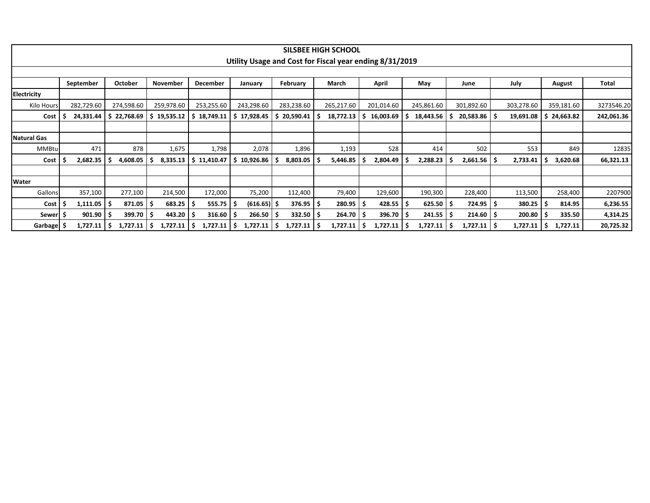|                    |           |            |                |                 |                           |                        |                        | <b>SILSBEE HIGH SCHOOL</b>                              |                     |                        |                        |                |                 |              |
|--------------------|-----------|------------|----------------|-----------------|---------------------------|------------------------|------------------------|---------------------------------------------------------|---------------------|------------------------|------------------------|----------------|-----------------|--------------|
|                    |           |            |                |                 |                           |                        |                        | Utility Usage and Cost for Fiscal year ending 8/31/2019 |                     |                        |                        |                |                 |              |
|                    |           |            |                |                 |                           |                        |                        |                                                         |                     |                        |                        |                |                 |              |
|                    |           |            |                |                 |                           |                        |                        |                                                         |                     |                        |                        |                |                 |              |
|                    | September |            | <b>October</b> | <b>November</b> | <b>December</b>           | January                | February               | March                                                   | April               | May                    | June                   | July           | August          | <b>Total</b> |
| Electricity        |           |            |                |                 |                           |                        |                        |                                                         |                     |                        |                        |                |                 |              |
| <b>Kilo Hours</b>  |           | 282,729.60 | 274,598.60     | 259,978.60      | 253,255.60                | 243,298.60             | 283,238.60             | 265,217.60                                              | 201,014.60          | 245,861.60             | 301,892.60             | 303,278.60     | 359,181.60      | 3273546.20   |
| Cost               |           | 24,331.44  | 22,768.69      | \$19,535.12     | 18,749.11<br>. \$         | 17,928.45<br>S.        | 20,590.41<br>s         | 18,772.13                                               | 16,003.69           | 18,443.56<br>-S        | $20,583.86$ \$         | 19,691.08      | \$24,663.82     | 242,061.36   |
|                    |           |            |                |                 |                           |                        |                        |                                                         |                     |                        |                        |                |                 |              |
| <b>Natural Gas</b> |           |            |                |                 |                           |                        |                        |                                                         |                     |                        |                        |                |                 |              |
| MMBtu              |           | 471        | 878            | 1,675           | 1,798                     | 2,078                  | 1,896                  | 1,193                                                   | 528                 | 414                    | 502                    | 553            | 849             | 12835        |
| Cost               |           | 2,682.35   | 4,608.05       |                 | $8,335.13$   \$ 11,410.47 | $10,926.86$   \$<br>s. | 8,803.05               | 5,446.85                                                | 2,804.49            | 2,288.23<br>- S        | $2,661.56$   \$<br>s   | 2,733.41       | 3,620.68        | 66,321.13    |
|                    |           |            |                |                 |                           |                        |                        |                                                         |                     |                        |                        |                |                 |              |
| Water              |           |            |                |                 |                           |                        |                        |                                                         |                     |                        |                        |                |                 |              |
| Gallons            |           | 357,100    | 277,100        | 214,500         | 172,000                   | 75,200                 | 112,400                | 79,400                                                  | 129,600             | 190,300                | 228,400                | 113,500        | 258,400         | 2207900      |
| Cost               | -5        | 1,111.05   | 871.05         | 683.25          | 555.75                    | $(616.65)$ \$          | $376.95$ $\frac{1}{5}$ | 280.95                                                  | $428.55$   \$<br>-S | $625.50$ $\frac{1}{5}$ | $724.95$ $\frac{1}{2}$ | 380.25         | 814.95          | 6,236.55     |
| Sewer  \$          |           | 901.90     | 399.70         | 443.20          | 316.60                    | 266.50                 | 332.50                 | 264.70<br>-S                                            | $396.70$   \$<br>.S | 241.55                 | $214.60$   \$<br>S     | 200.80         | 335.50          | 4,314.25     |
| Garbage            |           | 1,727.11   | 1,727.11<br>-S | 1,727.11        | $1,727.11$   \$<br>. I S  | $1,727.11$   \$        | 1,727.11               | 1,727.11<br>-S                                          | 1,727.11            | 1,727.11               | 1,727.11<br>S          | 1,727.11<br>ΙS | - Ś<br>1,727.11 | 20,725.32    |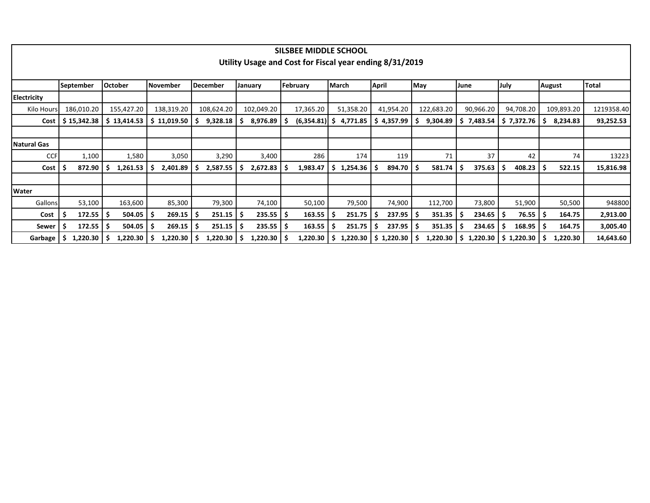|                    |                        |                |               |                |                        | SILSBEE MIDDLE SCHOOL                                   |                |                        |                        |                        |                          |              |            |
|--------------------|------------------------|----------------|---------------|----------------|------------------------|---------------------------------------------------------|----------------|------------------------|------------------------|------------------------|--------------------------|--------------|------------|
|                    |                        |                |               |                |                        | Utility Usage and Cost for Fiscal year ending 8/31/2019 |                |                        |                        |                        |                          |              |            |
|                    |                        |                |               |                |                        |                                                         |                |                        |                        |                        |                          |              |            |
|                    | September              | <b>October</b> | November      | December       | January                | February                                                | March          | <b>April</b>           | May                    | June                   | <b>July</b>              | August       | Total      |
| <b>Electricity</b> |                        |                |               |                |                        |                                                         |                |                        |                        |                        |                          |              |            |
| Kilo Hours         | 186,010.20             | 155,427.20     | 138,319.20    | 108,624.20     | 102,049.20             | 17,365.20                                               | 51,358.20      | 41,954.20              | 122,683.20             | 90,966.20              | 94,708.20                | 109,893.20   | 1219358.40 |
| Cost               | $$15,342.38$           | \$13,414.53    | \$11,019.50   | 9,328.18       | 8,976.89               | $(6,354.81)$ \$<br>-S                                   | 4,771.85       | 4,357.99               | 9,304.89               | 7,483.54               | \$7,372.76               | 8,234.83     | 93,252.53  |
|                    |                        |                |               |                |                        |                                                         |                |                        |                        |                        |                          |              |            |
| <b>Natural Gas</b> |                        |                |               |                |                        |                                                         |                |                        |                        |                        |                          |              |            |
| <b>CCF</b>         | 1,100                  | 1,580          | 3,050         | 3,290          | 3,400                  | 286                                                     | 174            | 119                    | 71                     | 37                     | 42                       | 74           | 13223      |
| Cost               | 872.90                 | 1,261.53<br>-S | 2,401.89<br>S | 2,587.55<br>S  | 2,672.83               | 1,983.47<br>-S                                          | \$1,254.36     | 894.70                 | 581.74<br>-S           | 375.63                 | 408.23<br>-S             | 522.15<br>۱S | 15,816.98  |
|                    |                        |                |               |                |                        |                                                         |                |                        |                        |                        |                          |              |            |
| <b>Water</b>       |                        |                |               |                |                        |                                                         |                |                        |                        |                        |                          |              |            |
| Gallons            | 53,100                 | 163,600        | 85,300        | 79,300         | 74,100                 | 50,100                                                  | 79,500         | 74,900                 | 112,700                | 73,800                 | 51,900                   | 50,500       | 948800     |
| Cost               | $172.55$ $\frac{1}{5}$ | 504.05         | $269.15$ \$   | 251.15         | $235.55$ $\frac{1}{5}$ | 163.55                                                  | 251.75         | $237.95$ \$            | $351.35$ $\frac{1}{5}$ | $234.65$ $\frac{1}{5}$ | $76.55$ $\mid$ \$        | 164.75       | 2,913.00   |
| Sewer              | $172.55$ $\frac{1}{5}$ | 504.05         | 269.15        | 251.15<br>-S   | 235.55                 | 163.55<br>-\$                                           | 251.75         | $237.95$ $\frac{1}{5}$ | 351.35                 | $234.65$   \$          | 168.95                   | 164.75       | 3,005.40   |
| Garbage            | $1,220.30$   \$<br>-S  | 1,220.30       | 1,220.30      | 1,220.30<br>-S | 1,220.30               | 1,220.30<br>-S                                          | 1,220.30<br>S. | $$1,220.30$ $$$        | 1,220.30               | S.                     | $1,220.30$   \$ 1,220.30 | 1,220.30     | 14,643.60  |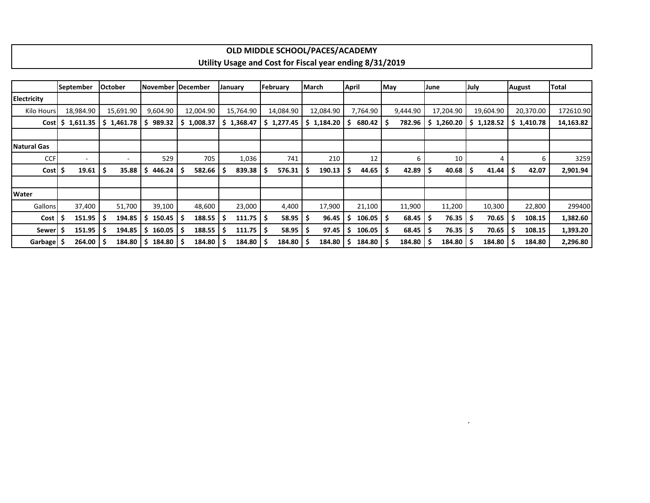## **OLD MIDDLE SCHOOL/PACES/ACADEMY Utility Usage and Cost for Fiscal year ending 8/31/2019**

|                 | <b>September</b>   |        | <b>October</b> |                   | November December | January              | February   | March           | <b>April</b> | May          | June       | July         | <b>August</b> | <b>Total</b> |
|-----------------|--------------------|--------|----------------|-------------------|-------------------|----------------------|------------|-----------------|--------------|--------------|------------|--------------|---------------|--------------|
| Electricity     |                    |        |                |                   |                   |                      |            |                 |              |              |            |              |               |              |
| Kilo Hours      | 18,984.90          |        | 15,691.90      | 9,604.90          | 12,004.90         | 15,764.90            | 14,084.90  | 12,084.90       | 7,764.90     | 9,444.90     | 17,204.90  | 19,604.90    | 20,370.00     | 172610.90    |
|                 | $Cost$ \$ 1,611.35 |        | 1,461.78<br>S. | 989.32<br>i \$    | \$1,008.37        | \$1,368.47           | \$1,277.45 | $$1,184.20$ $$$ | 680.42       | 782.96       | \$1,260.20 | \$1,128.52   | \$1,410.78    | 14,163.82    |
|                 |                    |        |                |                   |                   |                      |            |                 |              |              |            |              |               |              |
| Natural Gas     |                    |        |                |                   |                   |                      |            |                 |              |              |            |              |               |              |
| <b>CCF</b>      |                    |        | ۰              | 529               | 705               | 1,036                | 741        | 210             | 12           | 6            | 10         | 4            | 6             | 3259         |
| $Cost \mid \xi$ |                    | 19.61  | 35.88          | 446.24<br>-S      | 582.66            | $839.38$   \$<br>-S  | 576.31     | 190.13          | 44.65<br>-S  | 42.89<br>-\$ | 40.68      | 41.44<br>-S  | 42.07         | 2,901.94     |
|                 |                    |        |                |                   |                   |                      |            |                 |              |              |            |              |               |              |
| <b>Water</b>    |                    |        |                |                   |                   |                      |            |                 |              |              |            |              |               |              |
| Gallons         |                    | 37,400 | 51,700         | 39,100            | 48,600            | 23,000               | 4,400      | 17,900          | 21,100       | 11,900       | 11,200     | 10,300       | 22,800        | 299400       |
| Cost            |                    | 151.95 | 194.85<br>S    | 150.45<br>S       | 188.55<br>-S      | $111.75$   \$<br>- S | 58.95      | 96.45           | 106.05<br>-S | 68.45<br>۱S  | 76.35      | 70.65<br>-S  | 108.15        | 1,382.60     |
| <b>Sewer</b>    |                    | 151.95 | 194.85         | 160.05<br>l Si    | 188.55            | $111.75$   \$<br>۱S  | 58.95      | 97.45           | 106.05<br>-S | 68.45<br>-S  | 76.35      | 70.65<br>-S  | 108.15        | 1,393.20     |
| Garbage   \$    |                    | 264.00 | 184.80         | $184.80$ S<br>l S | 184.80            | $184.80$   \$        | 184.80     | 184.80          | 184.80<br>-S | 184.80<br>۱s | 184.80     | 184.80<br>.s | 184.80        | 2,296.80     |

.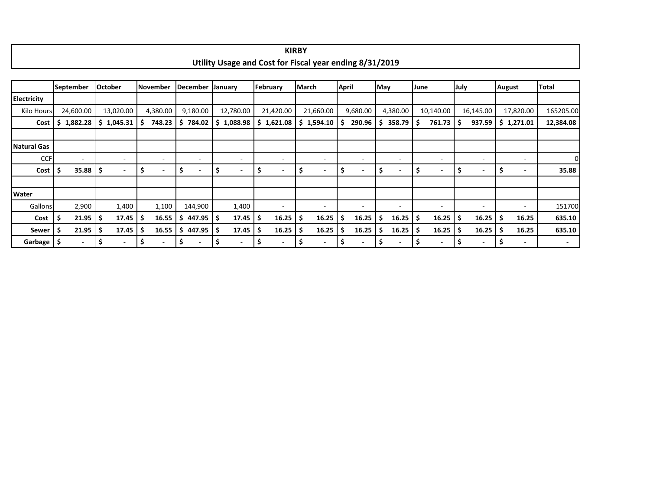|                    |                  |    |                          |     |                          |     |                          |    |                                                         |     | <b>KIRBY</b>             |     |                          |              |                          |     |                          |      |                          |      |                          |                                |                          |
|--------------------|------------------|----|--------------------------|-----|--------------------------|-----|--------------------------|----|---------------------------------------------------------|-----|--------------------------|-----|--------------------------|--------------|--------------------------|-----|--------------------------|------|--------------------------|------|--------------------------|--------------------------------|--------------------------|
|                    |                  |    |                          |     |                          |     |                          |    | Utility Usage and Cost for Fiscal year ending 8/31/2019 |     |                          |     |                          |              |                          |     |                          |      |                          |      |                          |                                |                          |
|                    |                  |    |                          |     |                          |     |                          |    |                                                         |     |                          |     |                          |              |                          |     |                          |      |                          |      |                          |                                |                          |
|                    | <b>September</b> |    | October                  |     | November                 |     | December                 |    | January                                                 |     | February                 |     | March                    | <b>April</b> |                          | May |                          | June |                          | July |                          | August                         | Total                    |
| <b>Electricity</b> |                  |    |                          |     |                          |     |                          |    |                                                         |     |                          |     |                          |              |                          |     |                          |      |                          |      |                          |                                |                          |
| Kilo Hours         | 24,600.00        |    | 13,020.00                |     | 4,380.00                 |     | 9,180.00                 |    | 12,780.00                                               |     | 21,420.00                |     | 21,660.00                |              | 9,680.00                 |     | 4,380.00                 |      | 10,140.00                |      | 16,145.00                | 17,820.00                      | 165205.00                |
| Cost               | \$<br>1,882.28   |    | \$1,045.31               | -\$ | 748.23                   | \$. | 784.02                   |    | \$1,088.98                                              |     | \$1,621.08               | \$. | 1,594.10                 | Ŝ            | 290.96                   | S   | $358.79$ $\frac{1}{5}$   |      | 761.73                   | Ś    | 937.59                   | \$1,271.01                     | 12,384.08                |
|                    |                  |    |                          |     |                          |     |                          |    |                                                         |     |                          |     |                          |              |                          |     |                          |      |                          |      |                          |                                |                          |
| <b>Natural Gas</b> |                  |    |                          |     |                          |     |                          |    |                                                         |     |                          |     |                          |              |                          |     |                          |      |                          |      |                          |                                |                          |
| <b>CCF</b>         | $\sim$           |    | $\overline{\phantom{a}}$ |     | $\overline{\phantom{a}}$ |     | $\overline{\phantom{a}}$ |    | $\sim$                                                  |     | ٠                        |     | $\overline{\phantom{a}}$ |              | $\overline{\phantom{a}}$ |     | $\overline{\phantom{a}}$ |      | $\overline{\phantom{a}}$ |      | $\overline{\phantom{a}}$ | $\blacksquare$                 | 0                        |
| Cost               | \$<br>35.88      | \$ | $\sim$                   | -\$ | $\blacksquare$           | -\$ | $\blacksquare$           | -S | $\overline{\phantom{a}}$                                | -\$ | $\sim$                   | -S  | $\overline{\phantom{a}}$ | \$           | $\overline{\phantom{a}}$ | \$. | $\overline{\phantom{a}}$ | -\$  | $\overline{\phantom{a}}$ | S    | $\overline{\phantom{a}}$ | \$<br>$\overline{\phantom{a}}$ | 35.88                    |
|                    |                  |    |                          |     |                          |     |                          |    |                                                         |     |                          |     |                          |              |                          |     |                          |      |                          |      |                          |                                |                          |
| <b>Water</b>       |                  |    |                          |     |                          |     |                          |    |                                                         |     |                          |     |                          |              |                          |     |                          |      |                          |      |                          |                                |                          |
| Gallons            | 2,900            |    | 1,400                    |     | 1,100                    |     | 144,900                  |    | 1,400                                                   |     | ٠.                       |     | $\overline{\phantom{a}}$ |              | $\overline{\phantom{a}}$ |     | $\overline{\phantom{a}}$ |      | $\overline{a}$           |      | $\sim$                   | $\overline{\phantom{a}}$       | 151700                   |
| Cost               | \$<br>21.95      | -S | 17.45                    | -\$ | 16.55                    | S.  | 447.95                   | -S | 17.45                                                   | -S  | 16.25                    | S   | 16.25                    | S            | 16.25                    | .S  | $16.25$   \$             |      | 16.25                    | s    | $16.25$   \$             | 16.25                          | 635.10                   |
| Sewer              | \$<br>21.95      |    | 17.45                    | -\$ | 16.55                    | \$. | 447.95                   | -S | 17.45                                                   | .\$ | 16.25                    | \$. | 16.25                    | .\$          | 16.25                    | .s  | $16.25$   \$             |      | 16.25                    | S    | $16.25$   \$             | 16.25                          | 635.10                   |
| Garbage \$         | $\blacksquare$   | \$ | $\overline{\phantom{0}}$ | \$  | $\blacksquare$           | \$  | $\blacksquare$           | \$ | $\blacksquare$                                          | \$, | $\overline{\phantom{a}}$ | \$  | $\blacksquare$           | \$.          | $\blacksquare$           | \$. | $\blacksquare$           | \$   | ٠                        | S    | $\blacksquare$           | \$<br>$\overline{\phantom{a}}$ | $\overline{\phantom{a}}$ |

 $\Gamma$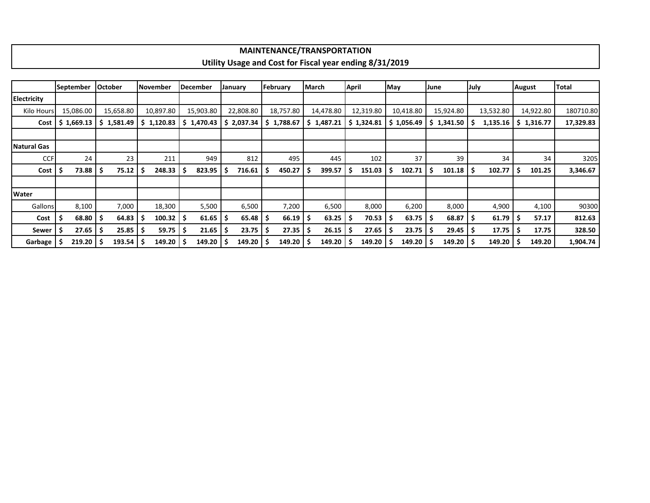| MAINTENANCE/TRANSPORTATION                              |
|---------------------------------------------------------|
| Utility Usage and Cost for Fiscal year ending 8/31/2019 |
|                                                         |

|                | September  |    | <b>October</b> |    | November   |    | <b>December</b> |     | January      | February  |    | March      | April |            | May |            | June |               | July |           |    | August     | <b>Total</b> |
|----------------|------------|----|----------------|----|------------|----|-----------------|-----|--------------|-----------|----|------------|-------|------------|-----|------------|------|---------------|------|-----------|----|------------|--------------|
| Electricity    |            |    |                |    |            |    |                 |     |              |           |    |            |       |            |     |            |      |               |      |           |    |            |              |
| Kilo Hours     | 15,086.00  |    | 15,658.80      |    | 10,897.80  |    | 15,903.80       |     | 22,808.80    | 18,757.80 |    | 14,478.80  |       | 12,319.80  |     | 10,418.80  |      | 15,924.80     |      | 13,532.80 |    | 14,922.80  | 180710.80    |
| Cost           | \$1,669.13 |    | \$1,581.49     |    | \$1,120.83 | S. | 1,470.43        |     | \$2,037.34   | 1,788.67  |    | \$1,487.21 |       | \$1,324.81 |     | \$1,056.49 |      | \$1,341.50    |      | 1,135.16  |    | \$1,316.77 | 17,329.83    |
|                |            |    |                |    |            |    |                 |     |              |           |    |            |       |            |     |            |      |               |      |           |    |            |              |
| Natural Gas    |            |    |                |    |            |    |                 |     |              |           |    |            |       |            |     |            |      |               |      |           |    |            |              |
| <b>CCF</b>     |            | 24 | 23             |    | 211        |    | 949             |     | 812          | 495       |    | 445        |       | 102        |     | 37         |      | 39            |      | 34        |    | 34         | 3205         |
| Cost           | 73.88      |    | 75.12          | -S | 248.33     | S  | 823.95          | -\$ | 716.61       | 450.27    |    | 399.57     | s     | 151.03     | S.  | 102.71     | \$.  | $101.18$   \$ |      | 102.77    |    | 101.25     | 3,346.67     |
|                |            |    |                |    |            |    |                 |     |              |           |    |            |       |            |     |            |      |               |      |           |    |            |              |
| <b>Water</b>   |            |    |                |    |            |    |                 |     |              |           |    |            |       |            |     |            |      |               |      |           |    |            |              |
| <b>Gallons</b> | 8,100      |    | 7,000          |    | 18,300     |    | 5,500           |     | 6,500        | 7,200     |    | 6,500      |       | 8,000      |     | 6,200      |      | 8,000         |      | 4,900     |    | 4,100      | 90300        |
| Cost           | 68.80      |    | 64.83          | -S | 100.32     | -S | 61.65           | ۱\$ | $65.48$   \$ | 66.19     | ۱S | 63.25      | s     | 70.53      | -5  | 63.75      | -S   | $68.87$   \$  |      | 61.79     | ۱s | 57.17      | 812.63       |
| Sewer          | 27.65      |    | 25.85          | -S | 59.75      | -S | 21.65           | -S  | 23.75        | 27.35     |    | 26.15      |       | 27.65      | s   | 23.75      | -S   | 29.45         |      | 17.75     |    | 17.75      | 328.50       |
| Garbage        | 219.20     |    | 193.54         |    | 149.20     |    | 149.20          |     | 149.20       | 149.20    |    | 149.20     |       | 149.20     |     | 149.20     |      | $149.20$   \$ |      | 149.20    |    | 149.20     | 1,904.74     |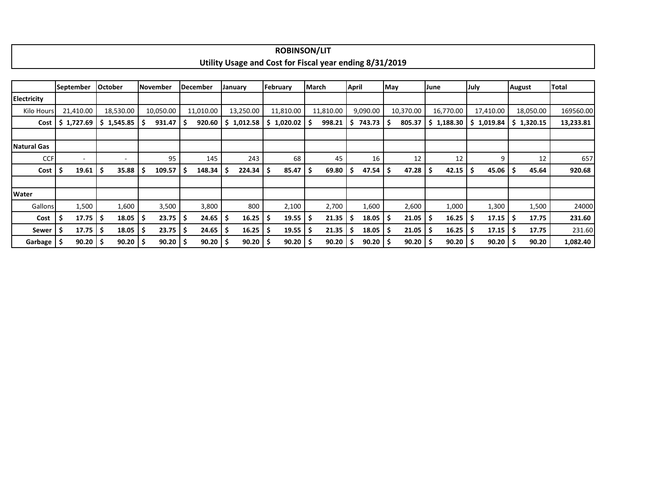|                    |              |                |   |                 |     |              |    |            |     | <b>ROBINSON/LIT</b>   |     |                                                         |              |              |     |           |      |           |     |                                     |            |              |
|--------------------|--------------|----------------|---|-----------------|-----|--------------|----|------------|-----|-----------------------|-----|---------------------------------------------------------|--------------|--------------|-----|-----------|------|-----------|-----|-------------------------------------|------------|--------------|
|                    |              |                |   |                 |     |              |    |            |     |                       |     | Utility Usage and Cost for Fiscal year ending 8/31/2019 |              |              |     |           |      |           |     |                                     |            |              |
|                    |              |                |   |                 |     |              |    |            |     |                       |     |                                                         |              |              |     |           |      |           |     |                                     |            |              |
|                    | September    | <b>October</b> |   | <b>November</b> |     | December     |    | January    |     | February              |     | March                                                   | <b>April</b> |              | May |           | June |           |     | July                                | August     | <b>Total</b> |
| <b>Electricity</b> |              |                |   |                 |     |              |    |            |     |                       |     |                                                         |              |              |     |           |      |           |     |                                     |            |              |
| Kilo Hours         | 21,410.00    | 18,530.00      |   | 10,050.00       |     | 11,010.00    |    | 13,250.00  |     | 11,810.00             |     | 11,810.00                                               |              | 9,090.00     |     | 10,370.00 |      | 16,770.00 |     | 17,410.00                           | 18,050.00  | 169560.00    |
| Cost               | \$1,727.69   | 1,545.85<br>-S | S | 931.47          | ۱s  | 920.60       |    | \$1,012.58 |     | $$1,020.02$ $$$       |     | 998.21                                                  | -S           | 743.73       |     | 805.37    | S.   | 1,188.30  |     | \$1,019.84                          | \$1,320.15 | 13,233.81    |
|                    |              |                |   |                 |     |              |    |            |     |                       |     |                                                         |              |              |     |           |      |           |     |                                     |            |              |
| <b>Natural Gas</b> |              |                |   |                 |     |              |    |            |     |                       |     |                                                         |              |              |     |           |      |           |     |                                     |            |              |
| <b>CCF</b>         | ٠            | $\sim$         |   | 95              |     | 145          |    | 243        |     | 68                    |     | 45                                                      |              | 16           |     | 12        |      | 12        |     | 9                                   | 12         | 657          |
| Cost $\vert$ \$    | 19.61        | 35.88<br>-\$   | S | 109.57          | ۱\$ | 148.34       | Ş  | 224.34     | \$. | 85.47                 | I\$ | 69.80                                                   | Ş            | 47.54        | -\$ | 47.28     |      | 42.15     | \$  | $45.06$   \$                        | 45.64      | 920.68       |
|                    |              |                |   |                 |     |              |    |            |     |                       |     |                                                         |              |              |     |           |      |           |     |                                     |            |              |
| <b>Water</b>       |              |                |   |                 |     |              |    |            |     |                       |     |                                                         |              |              |     |           |      |           |     |                                     |            |              |
| Gallons            | 1,500        | 1,600          |   | 3,500           |     | 3,800        |    | 800        |     | 2,100                 |     | 2,700                                                   |              | 1,600        |     | 2,600     |      | 1,000     |     | 1,300                               | 1,500      | 24000        |
| Cost               | 17.75        | 18.05<br>-\$   | S | 23.75           | I\$ | 24.65        | -S | 16.25      |     | 19.55                 | ΙS  | 21.35                                                   | Ş            | $18.05$   \$ |     | 21.05     |      | 16.25     | -S  | $17.15$   \$                        | 17.75      | 231.60       |
| Sewer   \$         | 17.75        | 18.05<br>۱s    |   | $23.75$   \$    |     | 24.65        | -S | 16.25      | S   | $19.55$ $\frac{1}{5}$ |     | 21.35                                                   | -S           | $18.05$   \$ |     | 21.05     |      | 16.25     | -S  | $17.15$ $\overline{\phantom{1}}$ \$ | 17.75      | 231.60       |
| Garbage   \$       | $90.20$   \$ | $90.20$   \$   |   | 90.20           |     | $90.20$   \$ |    | 90.20      |     | $90.20$   \$          |     | 90.20                                                   | Ş            | $90.20$   \$ |     | 90.20     |      | 90.20     | -\$ | $90.20$   \$                        | 90.20      | 1,082.40     |

г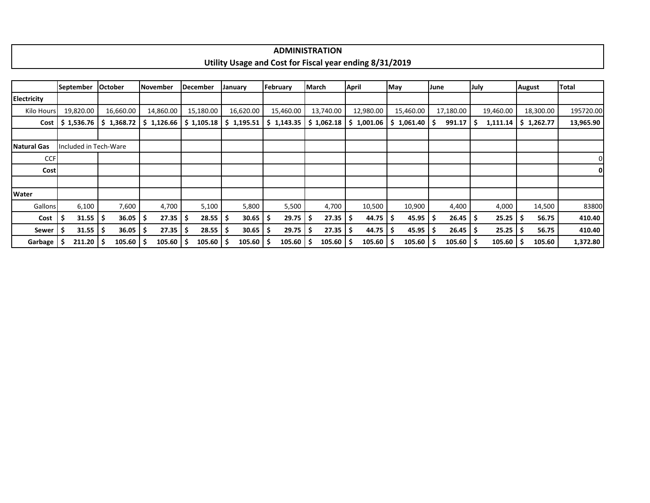| <b>ADMINISTRATION</b>                                                  |
|------------------------------------------------------------------------|
|                                                                        |
| <b>Tity Usage and Cost for Fiscal year ending 8/31/2019</b><br>Utility |
|                                                                        |

|                    | <b>September</b>      | <b>October</b>        | <b>November</b> | December                   | January      | February   | March              | April                               | May        | June             | July      | <b>August</b> | Total     |
|--------------------|-----------------------|-----------------------|-----------------|----------------------------|--------------|------------|--------------------|-------------------------------------|------------|------------------|-----------|---------------|-----------|
| <b>Electricity</b> |                       |                       |                 |                            |              |            |                    |                                     |            |                  |           |               |           |
| Kilo Hours         | 19,820.00             | 16,660.00             | 14,860.00       | 15,180.00                  | 16,620.00    | 15,460.00  | 13,740.00          | 12,980.00                           | 15,460.00  | 17,180.00        | 19,460.00 | 18,300.00     | 195720.00 |
|                    | $Cost$   \$ 1,536.76  | \$1,368.72            | \$1,126.66      | \$1,105.18                 | \$1,195.51   | \$1,143.35 | \$1,062.18         | \$1,001.06                          | \$1,061.40 | 991.17<br>-S     | 1,111.14  | \$1,262.77    | 13,965.90 |
|                    |                       |                       |                 |                            |              |            |                    |                                     |            |                  |           |               |           |
| <b>Natural Gas</b> |                       | Included in Tech-Ware |                 |                            |              |            |                    |                                     |            |                  |           |               |           |
| <b>CCF</b>         |                       |                       |                 |                            |              |            |                    |                                     |            |                  |           |               | 0         |
| Costl              |                       |                       |                 |                            |              |            |                    |                                     |            |                  |           |               | 01        |
|                    |                       |                       |                 |                            |              |            |                    |                                     |            |                  |           |               |           |
| Water              |                       |                       |                 |                            |              |            |                    |                                     |            |                  |           |               |           |
| Gallons            | 6,100                 | 7,600                 | 4,700           | 5,100                      | 5,800        | 5,500      | 4,700              | 10,500                              | 10,900     | 4,400            | 4,000     | 14,500        | 83800     |
| Cost               | $31.55$ $\frac{1}{5}$ | 36.05                 | 27.35           | $28.55$ $\frac{1}{5}$<br>S | $30.65$   \$ | 29.75      | $27.35$   \$<br>-5 | $44.75$ $\overline{\phantom{1}}$ \$ | 45.95      | $26.45$ \$<br>-S | 25.25     | 56.75<br>-5   | 410.40    |
| <b>Sewer</b>       | $31.55$ $\frac{1}{5}$ | 36.05                 | 27.35           | 28.55                      | 30.65<br>-S  | 29.75      | 27.35              | 44.75<br>-S                         | 45.95      | $26.45$ \$<br>-S | 25.25     | 56.75         | 410.40    |
| Garbage '          | $211.20$   \$         | 105.60                | 105.60          | 105.60                     | 105.60<br>-S | 105.60     | 105.60             | 105.60<br>-S                        | 105.60     | 105.60<br>-S     | 105.60    | 105.60        | 1,372.80  |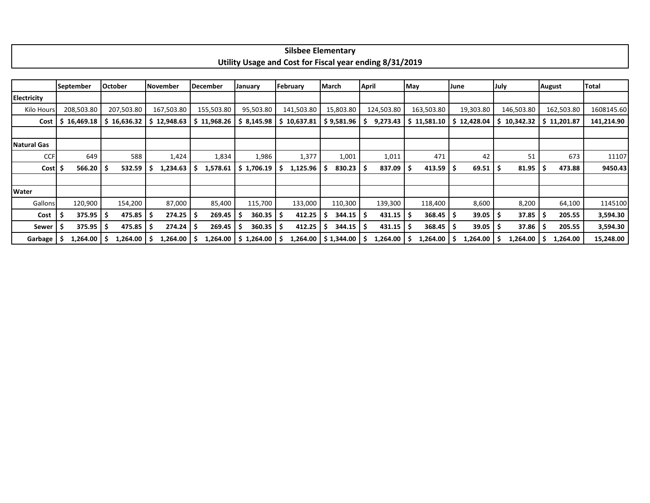| lementa.                                                                      |
|-------------------------------------------------------------------------------|
| <b>Utility Usage</b><br>1/2019<br>e and Cost for<br>.<br>Fiscal year ending ? |

|                   | <b>September</b> | <b>October</b> | November    | December    | January             | February        | March      | <b>April</b> | May                 | June      | July        | <b>August</b> | Total      |
|-------------------|------------------|----------------|-------------|-------------|---------------------|-----------------|------------|--------------|---------------------|-----------|-------------|---------------|------------|
| Electricity       |                  |                |             |             |                     |                 |            |              |                     |           |             |               |            |
| <b>Kilo Hours</b> | 208,503.80       | 207,503.80     | 167,503.80  | 155,503.80  | 95,503.80           | 141,503.80      | 15,803.80  | 124,503.80   | 163,503.80          | 19,303.80 | 146,503.80  | 162,503.80    | 1608145.60 |
| Cost              | 16,469.18        | \$16,636.32    | \$12,948.63 | \$11,968.26 | \$8,145.98          | \$10,637.81     | \$9,581.96 | 9,273.43     | \$11,581.10         | 12,428.04 | 10,342.32   | \$11,201.87   | 141,214.90 |
|                   |                  |                |             |             |                     |                 |            |              |                     |           |             |               |            |
| Natural Gas       |                  |                |             |             |                     |                 |            |              |                     |           |             |               |            |
| <b>CCF</b>        | 649              | 588            | 1,424       | 1,834       | 1,986               | 1,377           | 1,001      | 1,011        | 471                 | 42        | 51          | 673           | 11107      |
| Cost              | 566.20           | 532.59         | 1,234.63    | 1,578.61    | 1,706.19<br>-S      | 1,125.96        | 830.23     | 837.09       | 413.59              | 69.51     | 81.95<br>۱S | 473.88        | 9450.43    |
|                   |                  |                |             |             |                     |                 |            |              |                     |           |             |               |            |
| Water             |                  |                |             |             |                     |                 |            |              |                     |           |             |               |            |
| <b>Gallons</b>    | 120,900          | 154,200        | 87,000      | 85,400      | 115,700             | 133,000         | 110,300    | 139,300      | 118,400             | 8,600     | 8,200       | 64,100        | 1145100    |
| Cost              | 375.95           | 475.85         | 274.25      | 269.45      | 360.35<br>-5        | 412.25<br>-S    | 344.15     | 431.15       | $368.45$ $\sqrt{5}$ | 39.05     | 37.85       | 205.55        | 3,594.30   |
| Sewer             | 375.95           | 475.85         | 274.24      | 269.45      | 360.35<br>-5        | 412.25<br>-5    | 344.15     | 431.15       | 368.45<br>-S        | 39.05     | 37.86       | 205.55        | 3,594.30   |
| Garbage           | 1,264.00<br>5    | 1,264.00       | 1,264.00    | 1,264.00    | <b>S 1,264.00 L</b> | ,264.00  <br>-S | \$1,344.00 | .264.00      | 1,264.00            | 1,264.00  | 1,264.00    | 1,264.00      | 15,248.00  |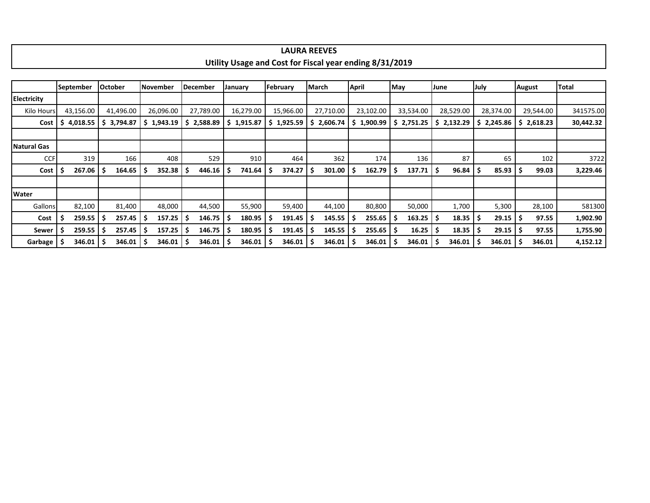| . v F<br>,                                                                                            |
|-------------------------------------------------------------------------------------------------------|
|                                                                                                       |
| 31/2019<br><b>Utility</b><br><b>Cost for</b><br><b>Fiscal year ending</b><br><b>Usage</b><br>and<br>. |
|                                                                                                       |
|                                                                                                       |

|              | September              | October |           | November |            | December |           | January |           | February |            | <b>March</b> |           | <b>April</b> |            | May |                                                   | June |           | July |            | <b>August</b> |            | <b>Total</b> |
|--------------|------------------------|---------|-----------|----------|------------|----------|-----------|---------|-----------|----------|------------|--------------|-----------|--------------|------------|-----|---------------------------------------------------|------|-----------|------|------------|---------------|------------|--------------|
| Electricity  |                        |         |           |          |            |          |           |         |           |          |            |              |           |              |            |     |                                                   |      |           |      |            |               |            |              |
| Kilo Hours   | 43,156.00              |         | 41,496.00 |          | 26,096.00  |          | 27,789.00 |         | 16,279.00 |          | 15,966.00  |              | 27,710.00 |              | 23,102.00  |     | 33,534.00                                         |      | 28,529.00 |      | 28,374.00  |               | 29,544.00  | 341575.00    |
| Cost         | 4,018.55               | -S      | 3,794.87  |          | \$1,943.19 | s        | 2,588.89  | S.      | 1,915.87  |          | \$1,925.59 | \$.          | 2,606.74  |              | \$1,900.99 |     | $\frac{1}{2}$ , 2,751.25 $\frac{1}{2}$ , 2,132.29 |      |           |      | \$2,245.86 |               | \$2,618.23 | 30,442.32    |
|              |                        |         |           |          |            |          |           |         |           |          |            |              |           |              |            |     |                                                   |      |           |      |            |               |            |              |
| Natural Gas  |                        |         |           |          |            |          |           |         |           |          |            |              |           |              |            |     |                                                   |      |           |      |            |               |            |              |
| <b>CCF</b>   | 319                    |         | 166       |          | 408        |          | 529       |         | 910       |          | 464        |              | 362       |              | 174        |     | 136                                               |      | 87        |      | 65         |               | 102        | 3722         |
| Cost         | $267.06$   \$          |         | 164.65    |          | 352.38     |          | 446.16    |         | 741.64    |          | 374.27     |              | 301.00    | S            | 162.79     | Ş   | 137.71                                            | ΙS   | 96.84     | -S   | 85.93      |               | 99.03      | 3,229.46     |
|              |                        |         |           |          |            |          |           |         |           |          |            |              |           |              |            |     |                                                   |      |           |      |            |               |            |              |
| <b>Water</b> |                        |         |           |          |            |          |           |         |           |          |            |              |           |              |            |     |                                                   |      |           |      |            |               |            |              |
| Gallons      | 82,100                 |         | 81,400    |          | 48,000     |          | 44,500    |         | 55,900    |          | 59,400     |              | 44,100    |              | 80,800     |     | 50,000                                            |      | 1,700     |      | 5,300      |               | 28,100     | 581300       |
| Cost         | $259.55$ $\frac{1}{5}$ |         | 257.45    |          | 157.25     |          | 146.75    | ۱S      | 180.95    |          | 191.45     | . S          | 145.55    | -S           | 255.65     | -\$ | $163.25$   \$                                     |      | 18.35     | -S   | 29.15      |               | 97.55      | 1,902.90     |
| Sewer        | $259.55$ $\frac{1}{5}$ |         | 257.45    |          | 157.25     |          | 146.75    |         | 180.95    |          | 191.45     |              | 145.55    | -S           | 255.65     | -S  | $16.25$   \$                                      |      | 18.35     | -S   | 29.15      |               | 97.55      | 1,755.90     |
| Garbage      | $346.01$   \$          |         | 346.01    |          | 346.01     |          | 346.01    |         | 346.01    |          | 346.01     |              | 346.01    | -S           | 346.01     |     | $346.01$ $\mid$ \$                                |      | 346.01    | -S   | 346.01     |               | 346.01     | 4,152.12     |